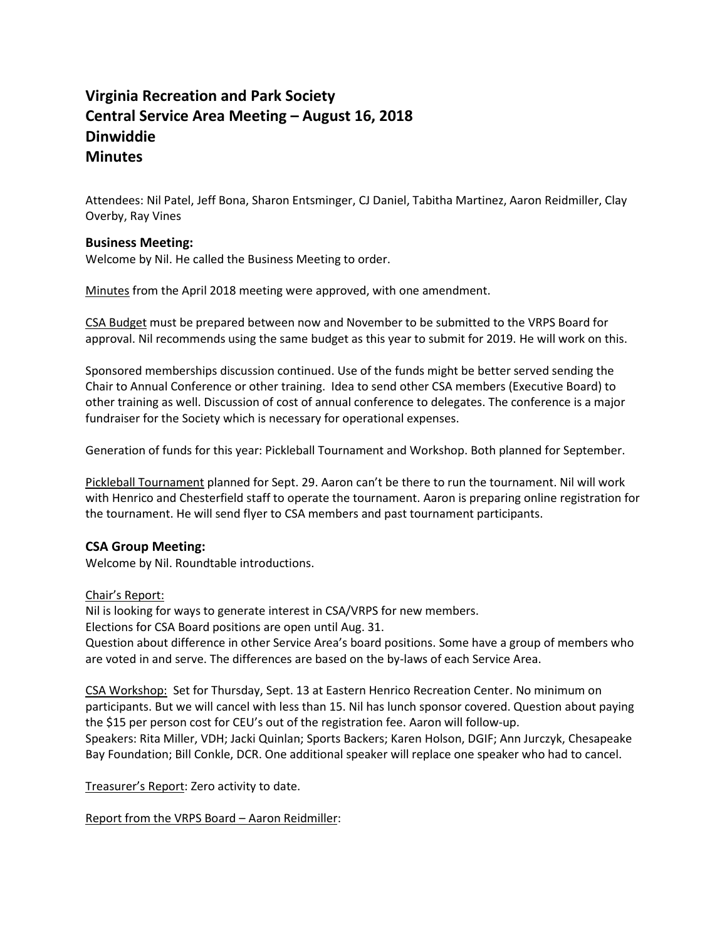# **Virginia Recreation and Park Society Central Service Area Meeting – August 16, 2018 Dinwiddie Minutes**

Attendees: Nil Patel, Jeff Bona, Sharon Entsminger, CJ Daniel, Tabitha Martinez, Aaron Reidmiller, Clay Overby, Ray Vines

## **Business Meeting:**

Welcome by Nil. He called the Business Meeting to order.

Minutes from the April 2018 meeting were approved, with one amendment.

CSA Budget must be prepared between now and November to be submitted to the VRPS Board for approval. Nil recommends using the same budget as this year to submit for 2019. He will work on this.

Sponsored memberships discussion continued. Use of the funds might be better served sending the Chair to Annual Conference or other training. Idea to send other CSA members (Executive Board) to other training as well. Discussion of cost of annual conference to delegates. The conference is a major fundraiser for the Society which is necessary for operational expenses.

Generation of funds for this year: Pickleball Tournament and Workshop. Both planned for September.

Pickleball Tournament planned for Sept. 29. Aaron can't be there to run the tournament. Nil will work with Henrico and Chesterfield staff to operate the tournament. Aaron is preparing online registration for the tournament. He will send flyer to CSA members and past tournament participants.

### **CSA Group Meeting:**

Welcome by Nil. Roundtable introductions.

### Chair's Report:

Nil is looking for ways to generate interest in CSA/VRPS for new members.

Elections for CSA Board positions are open until Aug. 31.

Question about difference in other Service Area's board positions. Some have a group of members who are voted in and serve. The differences are based on the by-laws of each Service Area.

CSA Workshop: Set for Thursday, Sept. 13 at Eastern Henrico Recreation Center. No minimum on participants. But we will cancel with less than 15. Nil has lunch sponsor covered. Question about paying the \$15 per person cost for CEU's out of the registration fee. Aaron will follow-up. Speakers: Rita Miller, VDH; Jacki Quinlan; Sports Backers; Karen Holson, DGIF; Ann Jurczyk, Chesapeake Bay Foundation; Bill Conkle, DCR. One additional speaker will replace one speaker who had to cancel.

Treasurer's Report: Zero activity to date.

Report from the VRPS Board – Aaron Reidmiller: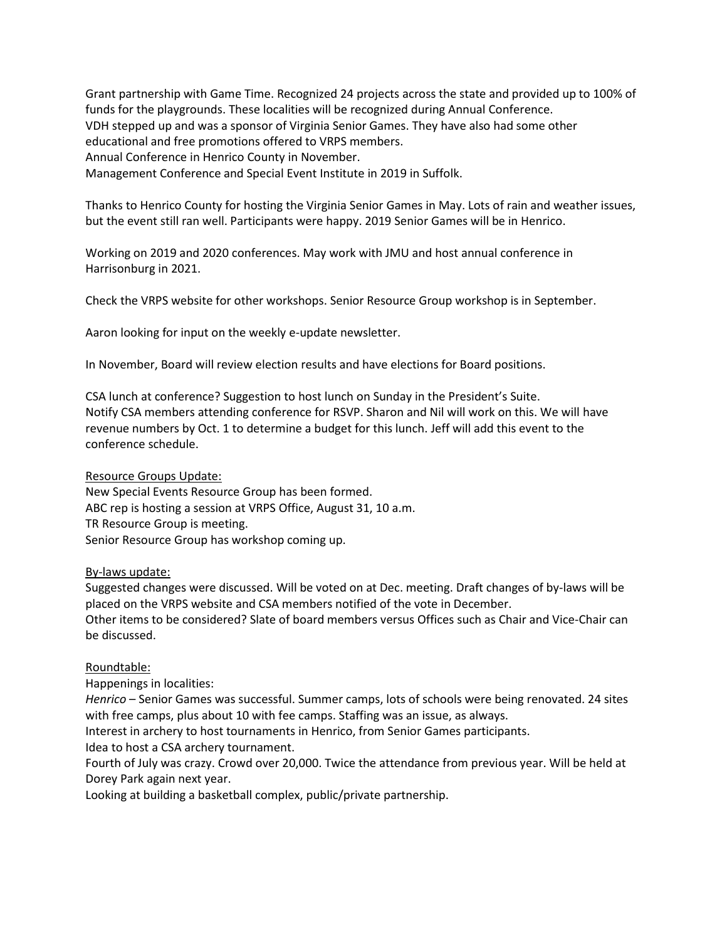Grant partnership with Game Time. Recognized 24 projects across the state and provided up to 100% of funds for the playgrounds. These localities will be recognized during Annual Conference. VDH stepped up and was a sponsor of Virginia Senior Games. They have also had some other educational and free promotions offered to VRPS members. Annual Conference in Henrico County in November. Management Conference and Special Event Institute in 2019 in Suffolk.

Thanks to Henrico County for hosting the Virginia Senior Games in May. Lots of rain and weather issues, but the event still ran well. Participants were happy. 2019 Senior Games will be in Henrico.

Working on 2019 and 2020 conferences. May work with JMU and host annual conference in Harrisonburg in 2021.

Check the VRPS website for other workshops. Senior Resource Group workshop is in September.

Aaron looking for input on the weekly e-update newsletter.

In November, Board will review election results and have elections for Board positions.

CSA lunch at conference? Suggestion to host lunch on Sunday in the President's Suite. Notify CSA members attending conference for RSVP. Sharon and Nil will work on this. We will have revenue numbers by Oct. 1 to determine a budget for this lunch. Jeff will add this event to the conference schedule.

Resource Groups Update:

New Special Events Resource Group has been formed. ABC rep is hosting a session at VRPS Office, August 31, 10 a.m. TR Resource Group is meeting. Senior Resource Group has workshop coming up.

By-laws update:

Suggested changes were discussed. Will be voted on at Dec. meeting. Draft changes of by-laws will be placed on the VRPS website and CSA members notified of the vote in December. Other items to be considered? Slate of board members versus Offices such as Chair and Vice-Chair can be discussed.

### Roundtable:

Happenings in localities:

*Henrico* – Senior Games was successful. Summer camps, lots of schools were being renovated. 24 sites with free camps, plus about 10 with fee camps. Staffing was an issue, as always.

Interest in archery to host tournaments in Henrico, from Senior Games participants.

Idea to host a CSA archery tournament.

Fourth of July was crazy. Crowd over 20,000. Twice the attendance from previous year. Will be held at Dorey Park again next year.

Looking at building a basketball complex, public/private partnership.